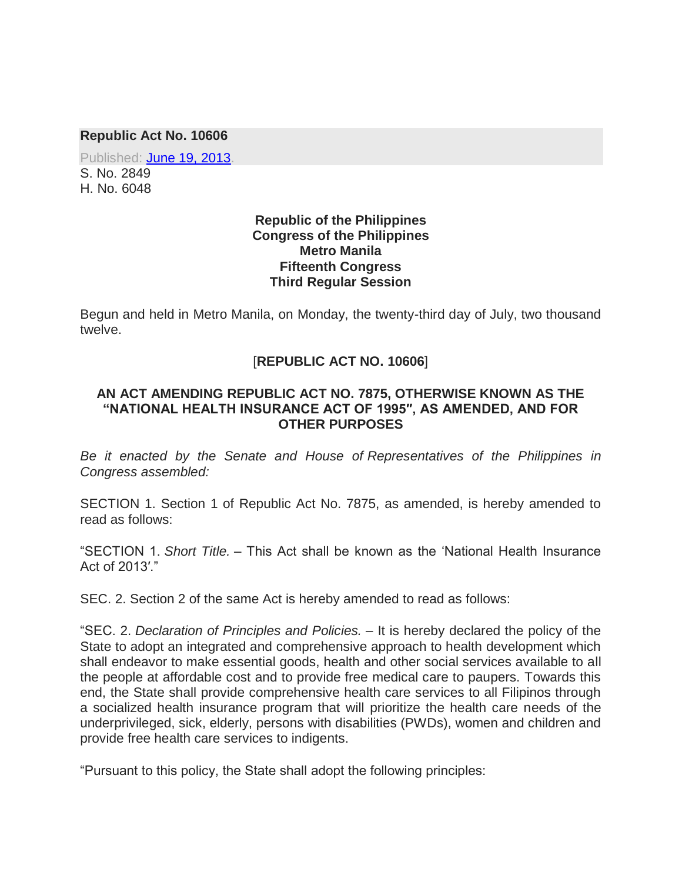#### **Republic Act No. 10606**

Published: [June 19, 2013.](http://www.gov.ph/2013/06/19/republic-act-no-10606/) S. No. 2849 H. No. 6048

#### **Republic of the Philippines Congress of the Philippines Metro Manila Fifteenth Congress Third Regular Session**

Begun and held in Metro Manila, on Monday, the twenty-third day of July, two thousand twelve.

### [**REPUBLIC ACT NO. 10606**]

#### **AN ACT AMENDING REPUBLIC ACT NO. 7875, OTHERWISE KNOWN AS THE "NATIONAL HEALTH INSURANCE ACT OF 1995″, AS AMENDED, AND FOR OTHER PURPOSES**

*Be it enacted by the Senate and House of Representatives of the Philippines in Congress assembled:*

SECTION 1. Section 1 of Republic Act No. 7875, as amended, is hereby amended to read as follows:

"SECTION 1. *Short Title.* – This Act shall be known as the 'National Health Insurance Act of 2013′."

SEC. 2. Section 2 of the same Act is hereby amended to read as follows:

"SEC. 2. *Declaration of Principles and Policies.* – It is hereby declared the policy of the State to adopt an integrated and comprehensive approach to health development which shall endeavor to make essential goods, health and other social services available to all the people at affordable cost and to provide free medical care to paupers. Towards this end, the State shall provide comprehensive health care services to all Filipinos through a socialized health insurance program that will prioritize the health care needs of the underprivileged, sick, elderly, persons with disabilities (PWDs), women and children and provide free health care services to indigents.

"Pursuant to this policy, the State shall adopt the following principles: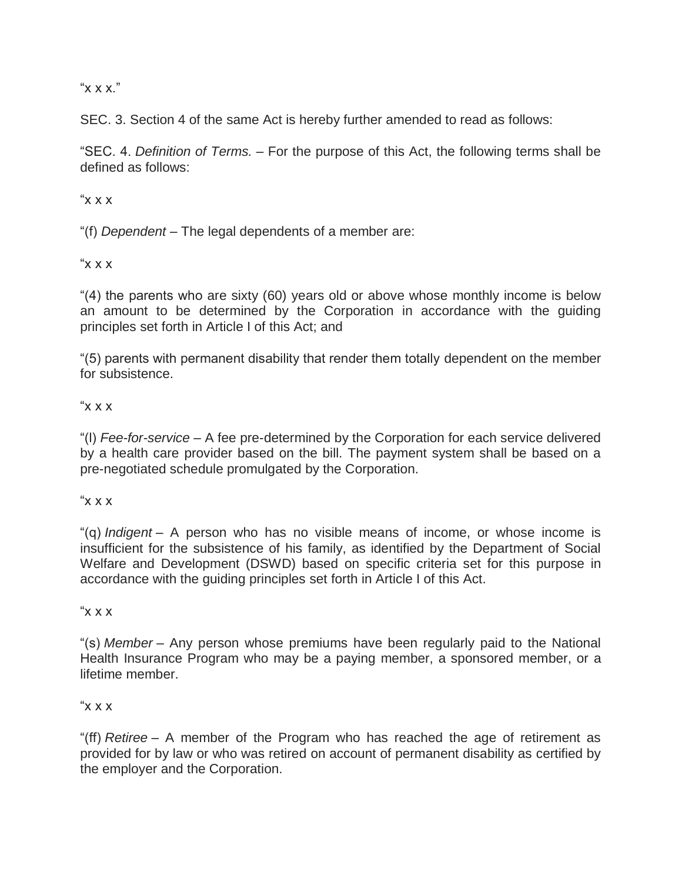"x x x."

SEC. 3. Section 4 of the same Act is hereby further amended to read as follows:

"SEC. 4. *Definition of Terms.* – For the purpose of this Act, the following terms shall be defined as follows:

" $x \times x$ "

"(f) *Dependent* – The legal dependents of a member are:

 $X \times X''$ 

"(4) the parents who are sixty (60) years old or above whose monthly income is below an amount to be determined by the Corporation in accordance with the guiding principles set forth in Article I of this Act; and

"(5) parents with permanent disability that render them totally dependent on the member for subsistence.

# " $X$   $X$   $Y$ "

"(l) *Fee-for-service* – A fee pre-determined by the Corporation for each service delivered by a health care provider based on the bill. The payment system shall be based on a pre-negotiated schedule promulgated by the Corporation.

#### " $X$   $X$   $X$ "

"(q) *Indigent* – A person who has no visible means of income, or whose income is insufficient for the subsistence of his family, as identified by the Department of Social Welfare and Development (DSWD) based on specific criteria set for this purpose in accordance with the guiding principles set forth in Article I of this Act.

# $X \times X''$

"(s) *Member* – Any person whose premiums have been regularly paid to the National Health Insurance Program who may be a paying member, a sponsored member, or a lifetime member.

# $x^2$

"(ff) *Retiree* – A member of the Program who has reached the age of retirement as provided for by law or who was retired on account of permanent disability as certified by the employer and the Corporation.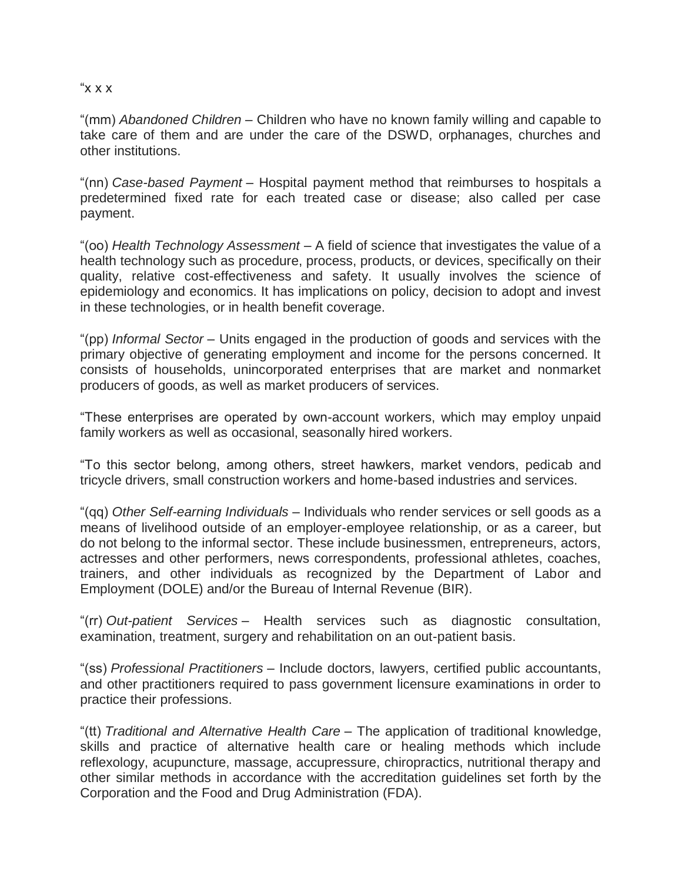" $\times$   $\times$   $\times$ "

"(mm) *Abandoned Children* – Children who have no known family willing and capable to take care of them and are under the care of the DSWD, orphanages, churches and other institutions.

"(nn) *Case-based Payment* – Hospital payment method that reimburses to hospitals a predetermined fixed rate for each treated case or disease; also called per case payment.

"(oo) *Health Technology Assessment* – A field of science that investigates the value of a health technology such as procedure, process, products, or devices, specifically on their quality, relative cost-effectiveness and safety. It usually involves the science of epidemiology and economics. It has implications on policy, decision to adopt and invest in these technologies, or in health benefit coverage.

"(pp) *Informal Sector* – Units engaged in the production of goods and services with the primary objective of generating employment and income for the persons concerned. It consists of households, unincorporated enterprises that are market and nonmarket producers of goods, as well as market producers of services.

"These enterprises are operated by own-account workers, which may employ unpaid family workers as well as occasional, seasonally hired workers.

"To this sector belong, among others, street hawkers, market vendors, pedicab and tricycle drivers, small construction workers and home-based industries and services.

"(qq) *Other Self-earning Individuals* – Individuals who render services or sell goods as a means of livelihood outside of an employer-employee relationship, or as a career, but do not belong to the informal sector. These include businessmen, entrepreneurs, actors, actresses and other performers, news correspondents, professional athletes, coaches, trainers, and other individuals as recognized by the Department of Labor and Employment (DOLE) and/or the Bureau of Internal Revenue (BIR).

"(rr) *Out-patient Services* – Health services such as diagnostic consultation, examination, treatment, surgery and rehabilitation on an out-patient basis.

"(ss) *Professional Practitioners* – Include doctors, lawyers, certified public accountants, and other practitioners required to pass government licensure examinations in order to practice their professions.

"(tt) *Traditional and Alternative Health Care* – The application of traditional knowledge, skills and practice of alternative health care or healing methods which include reflexology, acupuncture, massage, accupressure, chiropractics, nutritional therapy and other similar methods in accordance with the accreditation guidelines set forth by the Corporation and the Food and Drug Administration (FDA).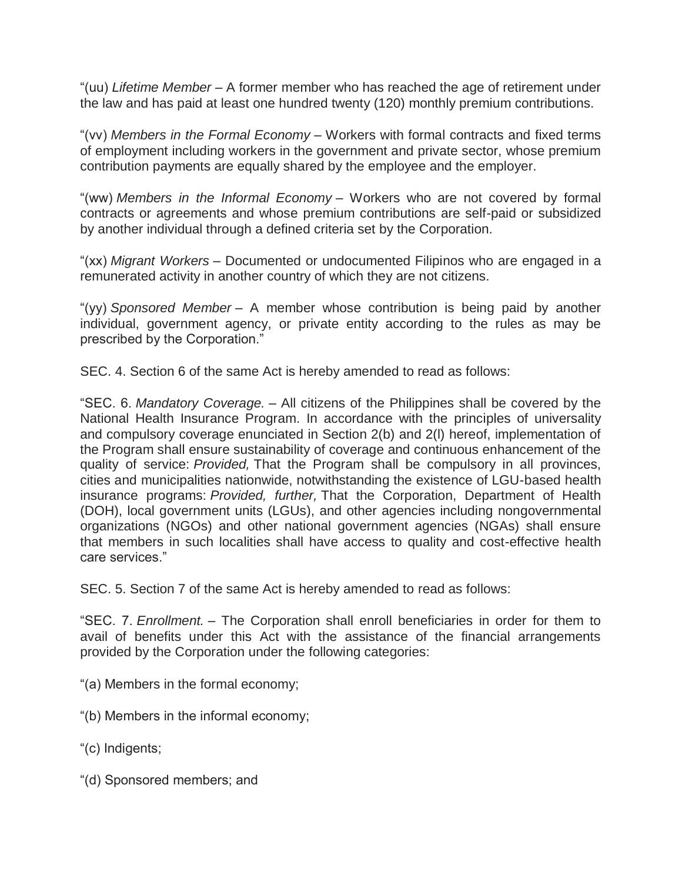"(uu) *Lifetime Member* – A former member who has reached the age of retirement under the law and has paid at least one hundred twenty (120) monthly premium contributions.

"(vv) *Members in the Formal Economy* – Workers with formal contracts and fixed terms of employment including workers in the government and private sector, whose premium contribution payments are equally shared by the employee and the employer.

"(ww) *Members in the Informal Economy* – Workers who are not covered by formal contracts or agreements and whose premium contributions are self-paid or subsidized by another individual through a defined criteria set by the Corporation.

"(xx) *Migrant Workers* – Documented or undocumented Filipinos who are engaged in a remunerated activity in another country of which they are not citizens.

"(yy) *Sponsored Member* – A member whose contribution is being paid by another individual, government agency, or private entity according to the rules as may be prescribed by the Corporation."

SEC. 4. Section 6 of the same Act is hereby amended to read as follows:

"SEC. 6. *Mandatory Coverage.* – All citizens of the Philippines shall be covered by the National Health Insurance Program. In accordance with the principles of universality and compulsory coverage enunciated in Section 2(b) and 2(l) hereof, implementation of the Program shall ensure sustainability of coverage and continuous enhancement of the quality of service: *Provided,* That the Program shall be compulsory in all provinces, cities and municipalities nationwide, notwithstanding the existence of LGU-based health insurance programs: *Provided, further,* That the Corporation, Department of Health (DOH), local government units (LGUs), and other agencies including nongovernmental organizations (NGOs) and other national government agencies (NGAs) shall ensure that members in such localities shall have access to quality and cost-effective health care services."

SEC. 5. Section 7 of the same Act is hereby amended to read as follows:

"SEC. 7. *Enrollment.* – The Corporation shall enroll beneficiaries in order for them to avail of benefits under this Act with the assistance of the financial arrangements provided by the Corporation under the following categories:

"(a) Members in the formal economy;

"(b) Members in the informal economy;

"(c) Indigents;

"(d) Sponsored members; and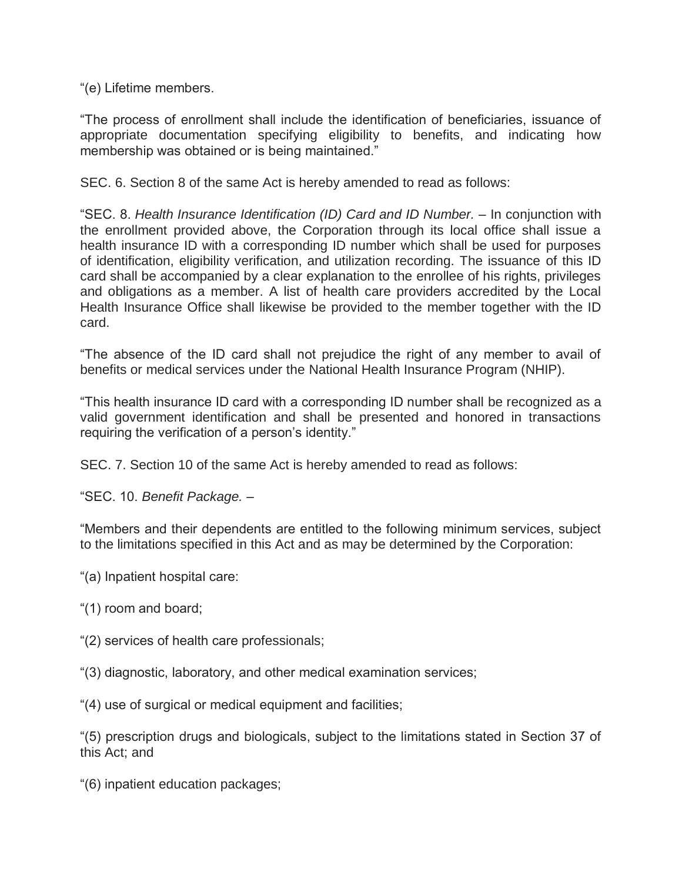"(e) Lifetime members.

"The process of enrollment shall include the identification of beneficiaries, issuance of appropriate documentation specifying eligibility to benefits, and indicating how membership was obtained or is being maintained."

SEC. 6. Section 8 of the same Act is hereby amended to read as follows:

"SEC. 8. *Health Insurance Identification (ID) Card and ID Number.* – In conjunction with the enrollment provided above, the Corporation through its local office shall issue a health insurance ID with a corresponding ID number which shall be used for purposes of identification, eligibility verification, and utilization recording. The issuance of this ID card shall be accompanied by a clear explanation to the enrollee of his rights, privileges and obligations as a member. A list of health care providers accredited by the Local Health Insurance Office shall likewise be provided to the member together with the ID card.

"The absence of the ID card shall not prejudice the right of any member to avail of benefits or medical services under the National Health Insurance Program (NHIP).

"This health insurance ID card with a corresponding ID number shall be recognized as a valid government identification and shall be presented and honored in transactions requiring the verification of a person's identity."

SEC. 7. Section 10 of the same Act is hereby amended to read as follows:

"SEC. 10. *Benefit Package.* –

"Members and their dependents are entitled to the following minimum services, subject to the limitations specified in this Act and as may be determined by the Corporation:

- "(a) Inpatient hospital care:
- "(1) room and board;
- "(2) services of health care professionals;
- "(3) diagnostic, laboratory, and other medical examination services;
- "(4) use of surgical or medical equipment and facilities;

"(5) prescription drugs and biologicals, subject to the limitations stated in Section 37 of this Act; and

"(6) inpatient education packages;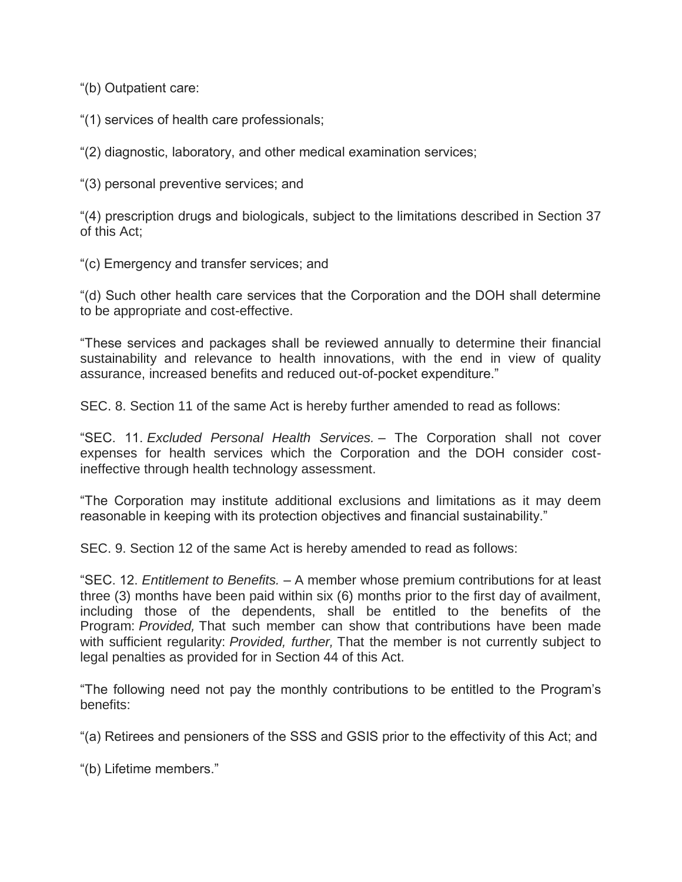"(b) Outpatient care:

"(1) services of health care professionals;

"(2) diagnostic, laboratory, and other medical examination services;

"(3) personal preventive services; and

"(4) prescription drugs and biologicals, subject to the limitations described in Section 37 of this Act;

"(c) Emergency and transfer services; and

"(d) Such other health care services that the Corporation and the DOH shall determine to be appropriate and cost-effective.

"These services and packages shall be reviewed annually to determine their financial sustainability and relevance to health innovations, with the end in view of quality assurance, increased benefits and reduced out-of-pocket expenditure."

SEC. 8. Section 11 of the same Act is hereby further amended to read as follows:

"SEC. 11. *Excluded Personal Health Services.* – The Corporation shall not cover expenses for health services which the Corporation and the DOH consider costineffective through health technology assessment.

"The Corporation may institute additional exclusions and limitations as it may deem reasonable in keeping with its protection objectives and financial sustainability."

SEC. 9. Section 12 of the same Act is hereby amended to read as follows:

"SEC. 12. *Entitlement to Benefits.* – A member whose premium contributions for at least three (3) months have been paid within six (6) months prior to the first day of availment, including those of the dependents, shall be entitled to the benefits of the Program: *Provided,* That such member can show that contributions have been made with sufficient regularity: *Provided, further,* That the member is not currently subject to legal penalties as provided for in Section 44 of this Act.

"The following need not pay the monthly contributions to be entitled to the Program's benefits:

"(a) Retirees and pensioners of the SSS and GSIS prior to the effectivity of this Act; and

"(b) Lifetime members."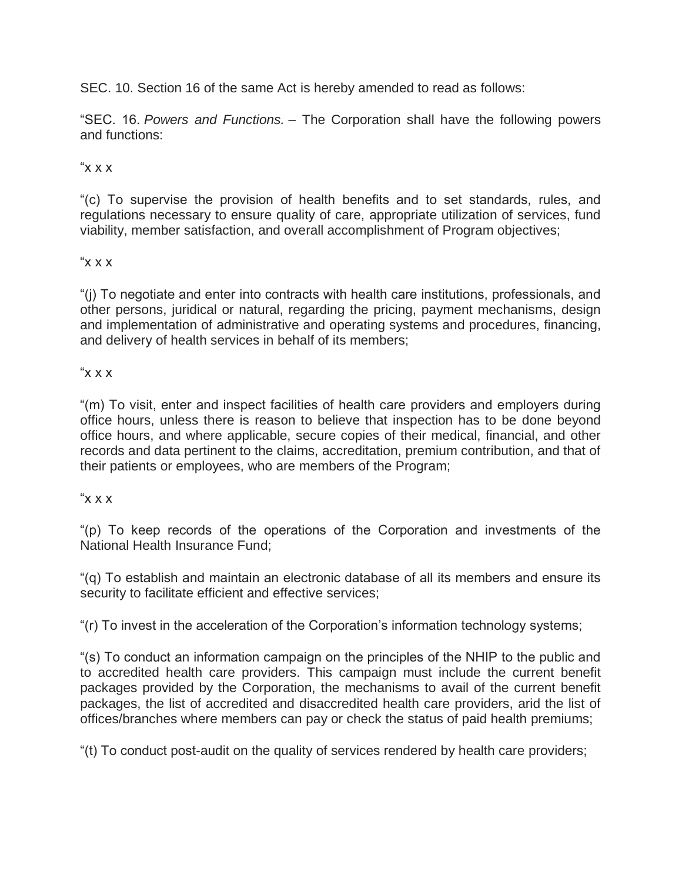SEC. 10. Section 16 of the same Act is hereby amended to read as follows:

"SEC. 16. *Powers and Functions.* – The Corporation shall have the following powers and functions:

# " $x x$ "

"(c) To supervise the provision of health benefits and to set standards, rules, and regulations necessary to ensure quality of care, appropriate utilization of services, fund viability, member satisfaction, and overall accomplishment of Program objectives;

# " $X$   $X$   $X$

"(j) To negotiate and enter into contracts with health care institutions, professionals, and other persons, juridical or natural, regarding the pricing, payment mechanisms, design and implementation of administrative and operating systems and procedures, financing, and delivery of health services in behalf of its members;

# $X$   $X$   $X$

"(m) To visit, enter and inspect facilities of health care providers and employers during office hours, unless there is reason to believe that inspection has to be done beyond office hours, and where applicable, secure copies of their medical, financial, and other records and data pertinent to the claims, accreditation, premium contribution, and that of their patients or employees, who are members of the Program;

# " $X$   $X$   $X$ "

"(p) To keep records of the operations of the Corporation and investments of the National Health Insurance Fund;

"(q) To establish and maintain an electronic database of all its members and ensure its security to facilitate efficient and effective services;

"(r) To invest in the acceleration of the Corporation's information technology systems;

"(s) To conduct an information campaign on the principles of the NHIP to the public and to accredited health care providers. This campaign must include the current benefit packages provided by the Corporation, the mechanisms to avail of the current benefit packages, the list of accredited and disaccredited health care providers, arid the list of offices/branches where members can pay or check the status of paid health premiums;

"(t) To conduct post-audit on the quality of services rendered by health care providers;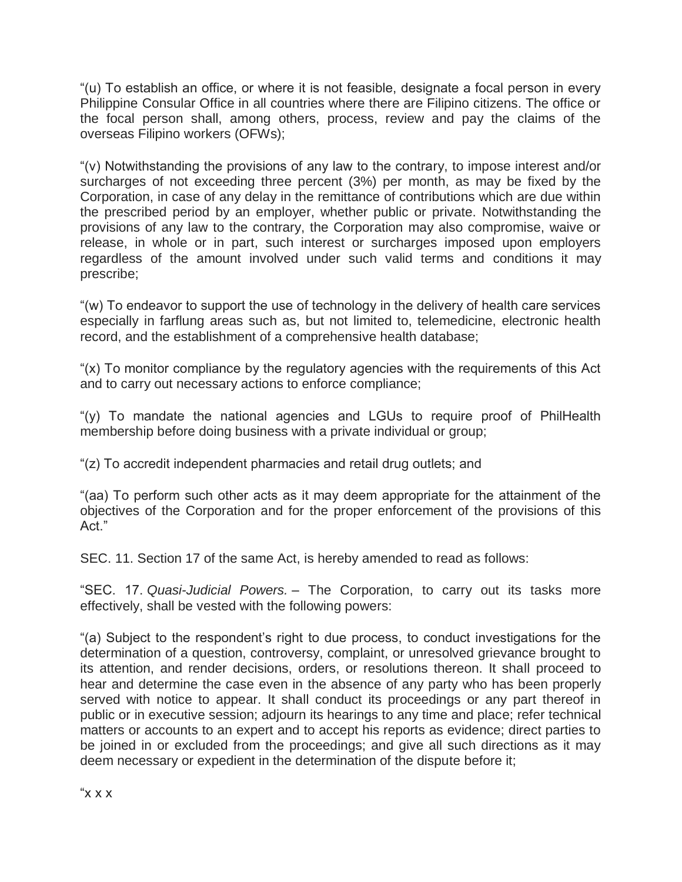"(u) To establish an office, or where it is not feasible, designate a focal person in every Philippine Consular Office in all countries where there are Filipino citizens. The office or the focal person shall, among others, process, review and pay the claims of the overseas Filipino workers (OFWs);

"(v) Notwithstanding the provisions of any law to the contrary, to impose interest and/or surcharges of not exceeding three percent (3%) per month, as may be fixed by the Corporation, in case of any delay in the remittance of contributions which are due within the prescribed period by an employer, whether public or private. Notwithstanding the provisions of any law to the contrary, the Corporation may also compromise, waive or release, in whole or in part, such interest or surcharges imposed upon employers regardless of the amount involved under such valid terms and conditions it may prescribe;

"(w) To endeavor to support the use of technology in the delivery of health care services especially in farflung areas such as, but not limited to, telemedicine, electronic health record, and the establishment of a comprehensive health database;

"(x) To monitor compliance by the regulatory agencies with the requirements of this Act and to carry out necessary actions to enforce compliance;

"(y) To mandate the national agencies and LGUs to require proof of PhilHealth membership before doing business with a private individual or group;

"(z) To accredit independent pharmacies and retail drug outlets; and

"(aa) To perform such other acts as it may deem appropriate for the attainment of the objectives of the Corporation and for the proper enforcement of the provisions of this Act."

SEC. 11. Section 17 of the same Act, is hereby amended to read as follows:

"SEC. 17. *Quasi-Judicial Powers.* – The Corporation, to carry out its tasks more effectively, shall be vested with the following powers:

"(a) Subject to the respondent's right to due process, to conduct investigations for the determination of a question, controversy, complaint, or unresolved grievance brought to its attention, and render decisions, orders, or resolutions thereon. It shall proceed to hear and determine the case even in the absence of any party who has been properly served with notice to appear. It shall conduct its proceedings or any part thereof in public or in executive session; adjourn its hearings to any time and place; refer technical matters or accounts to an expert and to accept his reports as evidence; direct parties to be joined in or excluded from the proceedings; and give all such directions as it may deem necessary or expedient in the determination of the dispute before it;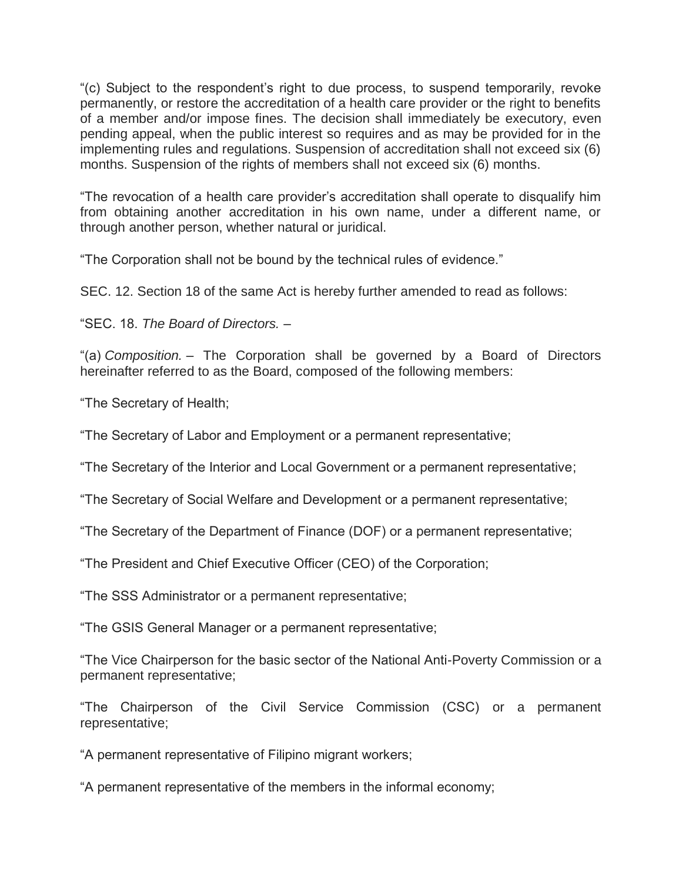"(c) Subject to the respondent's right to due process, to suspend temporarily, revoke permanently, or restore the accreditation of a health care provider or the right to benefits of a member and/or impose fines. The decision shall immediately be executory, even pending appeal, when the public interest so requires and as may be provided for in the implementing rules and regulations. Suspension of accreditation shall not exceed six (6) months. Suspension of the rights of members shall not exceed six (6) months.

"The revocation of a health care provider's accreditation shall operate to disqualify him from obtaining another accreditation in his own name, under a different name, or through another person, whether natural or juridical.

"The Corporation shall not be bound by the technical rules of evidence."

SEC. 12. Section 18 of the same Act is hereby further amended to read as follows:

"SEC. 18. *The Board of Directors.* –

"(a) *Composition.* – The Corporation shall be governed by a Board of Directors hereinafter referred to as the Board, composed of the following members:

"The Secretary of Health;

"The Secretary of Labor and Employment or a permanent representative;

"The Secretary of the Interior and Local Government or a permanent representative;

"The Secretary of Social Welfare and Development or a permanent representative;

"The Secretary of the Department of Finance (DOF) or a permanent representative;

"The President and Chief Executive Officer (CEO) of the Corporation;

"The SSS Administrator or a permanent representative;

"The GSIS General Manager or a permanent representative;

"The Vice Chairperson for the basic sector of the National Anti-Poverty Commission or a permanent representative;

"The Chairperson of the Civil Service Commission (CSC) or a permanent representative;

"A permanent representative of Filipino migrant workers;

"A permanent representative of the members in the informal economy;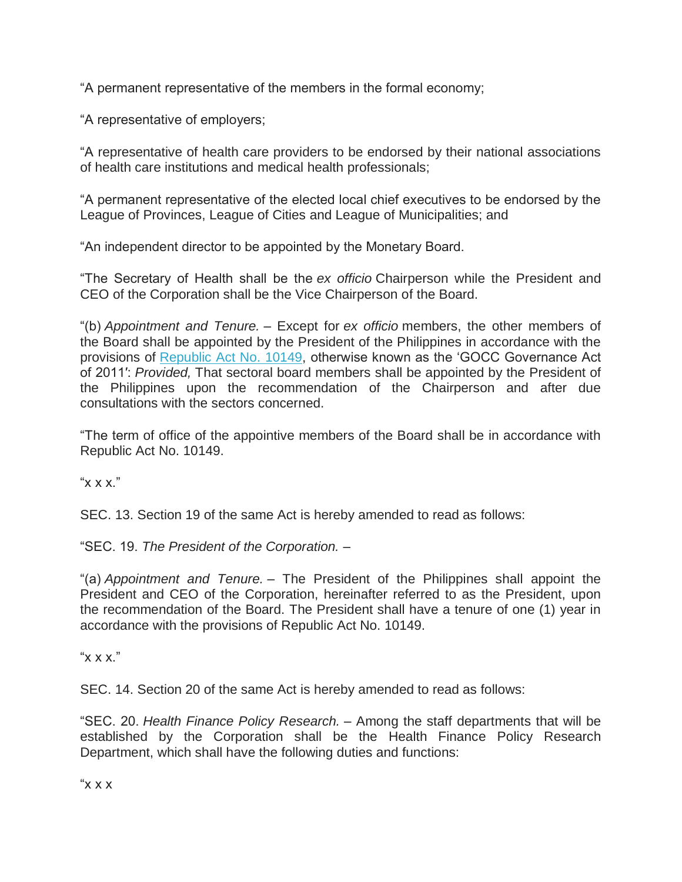"A permanent representative of the members in the formal economy;

"A representative of employers;

"A representative of health care providers to be endorsed by their national associations of health care institutions and medical health professionals;

"A permanent representative of the elected local chief executives to be endorsed by the League of Provinces, League of Cities and League of Municipalities; and

"An independent director to be appointed by the Monetary Board.

"The Secretary of Health shall be the *ex officio* Chairperson while the President and CEO of the Corporation shall be the Vice Chairperson of the Board.

"(b) *Appointment and Tenure.* – Except for *ex officio* members, the other members of the Board shall be appointed by the President of the Philippines in accordance with the provisions of [Republic Act No. 10149,](http://www.gov.ph/2011/06/06/republic-act-no-10149/) otherwise known as the 'GOCC Governance Act of 2011′: *Provided,* That sectoral board members shall be appointed by the President of the Philippines upon the recommendation of the Chairperson and after due consultations with the sectors concerned.

"The term of office of the appointive members of the Board shall be in accordance with Republic Act No. 10149.

" $x x x$ ."

SEC. 13. Section 19 of the same Act is hereby amended to read as follows:

"SEC. 19. *The President of the Corporation.* –

"(a) *Appointment and Tenure.* – The President of the Philippines shall appoint the President and CEO of the Corporation, hereinafter referred to as the President, upon the recommendation of the Board. The President shall have a tenure of one (1) year in accordance with the provisions of Republic Act No. 10149.

" $X$   $X$   $X$ "

SEC. 14. Section 20 of the same Act is hereby amended to read as follows:

"SEC. 20. *Health Finance Policy Research.* – Among the staff departments that will be established by the Corporation shall be the Health Finance Policy Research Department, which shall have the following duties and functions:

" $\times$   $\times$   $\times$ "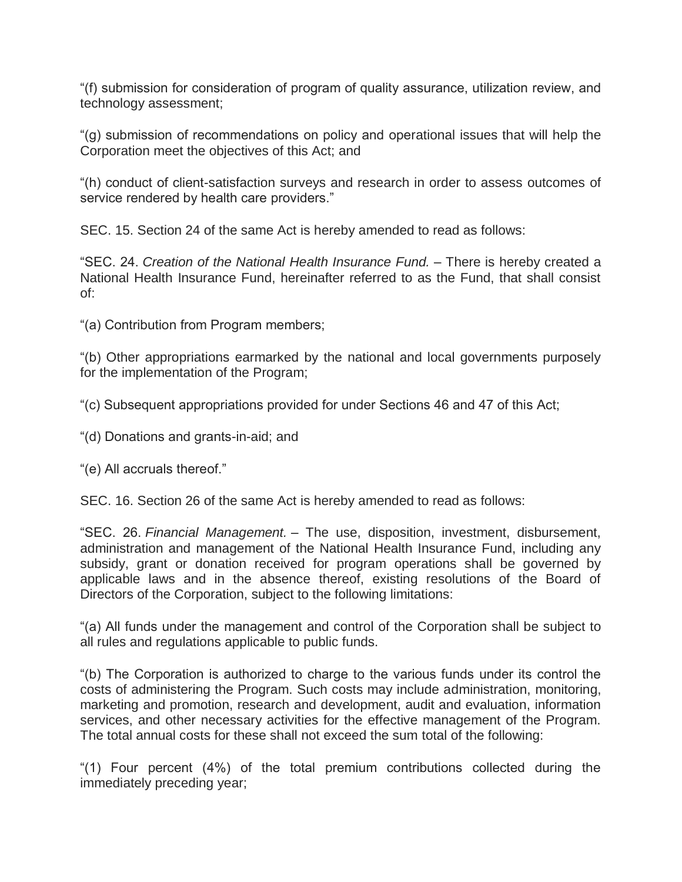"(f) submission for consideration of program of quality assurance, utilization review, and technology assessment;

"(g) submission of recommendations on policy and operational issues that will help the Corporation meet the objectives of this Act; and

"(h) conduct of client-satisfaction surveys and research in order to assess outcomes of service rendered by health care providers."

SEC. 15. Section 24 of the same Act is hereby amended to read as follows:

"SEC. 24. *Creation of the National Health Insurance Fund.* – There is hereby created a National Health Insurance Fund, hereinafter referred to as the Fund, that shall consist of:

"(a) Contribution from Program members;

"(b) Other appropriations earmarked by the national and local governments purposely for the implementation of the Program;

"(c) Subsequent appropriations provided for under Sections 46 and 47 of this Act;

"(d) Donations and grants-in-aid; and

"(e) All accruals thereof."

SEC. 16. Section 26 of the same Act is hereby amended to read as follows:

"SEC. 26. *Financial Management.* – The use, disposition, investment, disbursement, administration and management of the National Health Insurance Fund, including any subsidy, grant or donation received for program operations shall be governed by applicable laws and in the absence thereof, existing resolutions of the Board of Directors of the Corporation, subject to the following limitations:

"(a) All funds under the management and control of the Corporation shall be subject to all rules and regulations applicable to public funds.

"(b) The Corporation is authorized to charge to the various funds under its control the costs of administering the Program. Such costs may include administration, monitoring, marketing and promotion, research and development, audit and evaluation, information services, and other necessary activities for the effective management of the Program. The total annual costs for these shall not exceed the sum total of the following:

"(1) Four percent (4%) of the total premium contributions collected during the immediately preceding year;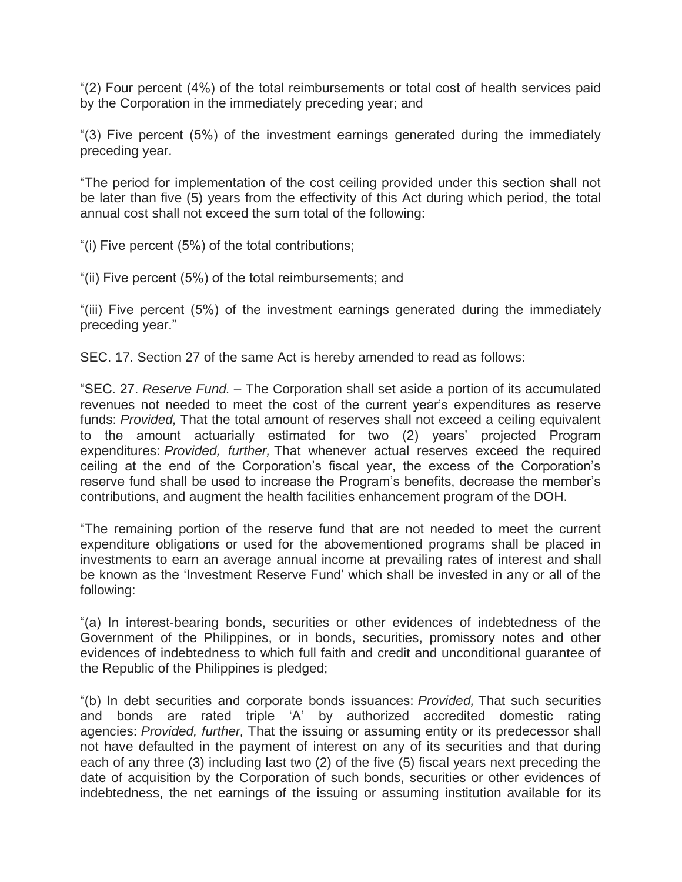"(2) Four percent (4%) of the total reimbursements or total cost of health services paid by the Corporation in the immediately preceding year; and

"(3) Five percent (5%) of the investment earnings generated during the immediately preceding year.

"The period for implementation of the cost ceiling provided under this section shall not be later than five (5) years from the effectivity of this Act during which period, the total annual cost shall not exceed the sum total of the following:

"(i) Five percent (5%) of the total contributions;

"(ii) Five percent (5%) of the total reimbursements; and

"(iii) Five percent (5%) of the investment earnings generated during the immediately preceding year."

SEC. 17. Section 27 of the same Act is hereby amended to read as follows:

"SEC. 27. *Reserve Fund.* – The Corporation shall set aside a portion of its accumulated revenues not needed to meet the cost of the current year's expenditures as reserve funds: *Provided,* That the total amount of reserves shall not exceed a ceiling equivalent to the amount actuarially estimated for two (2) years' projected Program expenditures: *Provided, further,* That whenever actual reserves exceed the required ceiling at the end of the Corporation's fiscal year, the excess of the Corporation's reserve fund shall be used to increase the Program's benefits, decrease the member's contributions, and augment the health facilities enhancement program of the DOH.

"The remaining portion of the reserve fund that are not needed to meet the current expenditure obligations or used for the abovementioned programs shall be placed in investments to earn an average annual income at prevailing rates of interest and shall be known as the 'Investment Reserve Fund' which shall be invested in any or all of the following:

"(a) In interest-bearing bonds, securities or other evidences of indebtedness of the Government of the Philippines, or in bonds, securities, promissory notes and other evidences of indebtedness to which full faith and credit and unconditional guarantee of the Republic of the Philippines is pledged;

"(b) In debt securities and corporate bonds issuances: *Provided,* That such securities and bonds are rated triple 'A' by authorized accredited domestic rating agencies: *Provided, further,* That the issuing or assuming entity or its predecessor shall not have defaulted in the payment of interest on any of its securities and that during each of any three (3) including last two (2) of the five (5) fiscal years next preceding the date of acquisition by the Corporation of such bonds, securities or other evidences of indebtedness, the net earnings of the issuing or assuming institution available for its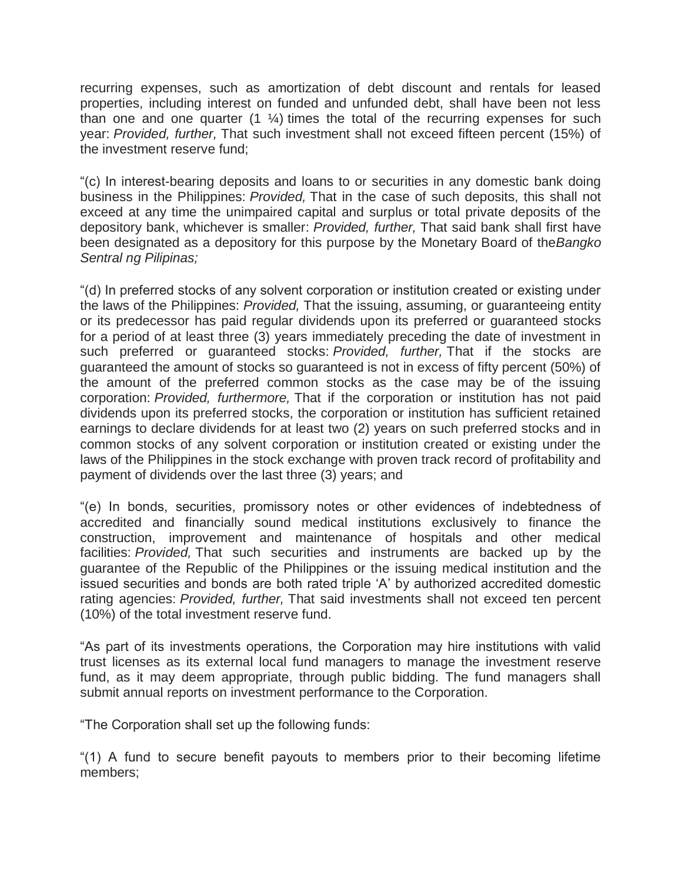recurring expenses, such as amortization of debt discount and rentals for leased properties, including interest on funded and unfunded debt, shall have been not less than one and one quarter  $(1 \frac{1}{4})$  times the total of the recurring expenses for such year: *Provided, further,* That such investment shall not exceed fifteen percent (15%) of the investment reserve fund;

"(c) In interest-bearing deposits and loans to or securities in any domestic bank doing business in the Philippines: *Provided,* That in the case of such deposits, this shall not exceed at any time the unimpaired capital and surplus or total private deposits of the depository bank, whichever is smaller: *Provided, further,* That said bank shall first have been designated as a depository for this purpose by the Monetary Board of the*Bangko Sentral ng Pilipinas;*

"(d) In preferred stocks of any solvent corporation or institution created or existing under the laws of the Philippines: *Provided,* That the issuing, assuming, or guaranteeing entity or its predecessor has paid regular dividends upon its preferred or guaranteed stocks for a period of at least three (3) years immediately preceding the date of investment in such preferred or guaranteed stocks: *Provided, further,* That if the stocks are guaranteed the amount of stocks so guaranteed is not in excess of fifty percent (50%) of the amount of the preferred common stocks as the case may be of the issuing corporation: *Provided, furthermore,* That if the corporation or institution has not paid dividends upon its preferred stocks, the corporation or institution has sufficient retained earnings to declare dividends for at least two (2) years on such preferred stocks and in common stocks of any solvent corporation or institution created or existing under the laws of the Philippines in the stock exchange with proven track record of profitability and payment of dividends over the last three (3) years; and

"(e) In bonds, securities, promissory notes or other evidences of indebtedness of accredited and financially sound medical institutions exclusively to finance the construction, improvement and maintenance of hospitals and other medical facilities: *Provided,* That such securities and instruments are backed up by the guarantee of the Republic of the Philippines or the issuing medical institution and the issued securities and bonds are both rated triple 'A' by authorized accredited domestic rating agencies: *Provided, further,* That said investments shall not exceed ten percent (10%) of the total investment reserve fund.

"As part of its investments operations, the Corporation may hire institutions with valid trust licenses as its external local fund managers to manage the investment reserve fund, as it may deem appropriate, through public bidding. The fund managers shall submit annual reports on investment performance to the Corporation.

"The Corporation shall set up the following funds:

"(1) A fund to secure benefit payouts to members prior to their becoming lifetime members;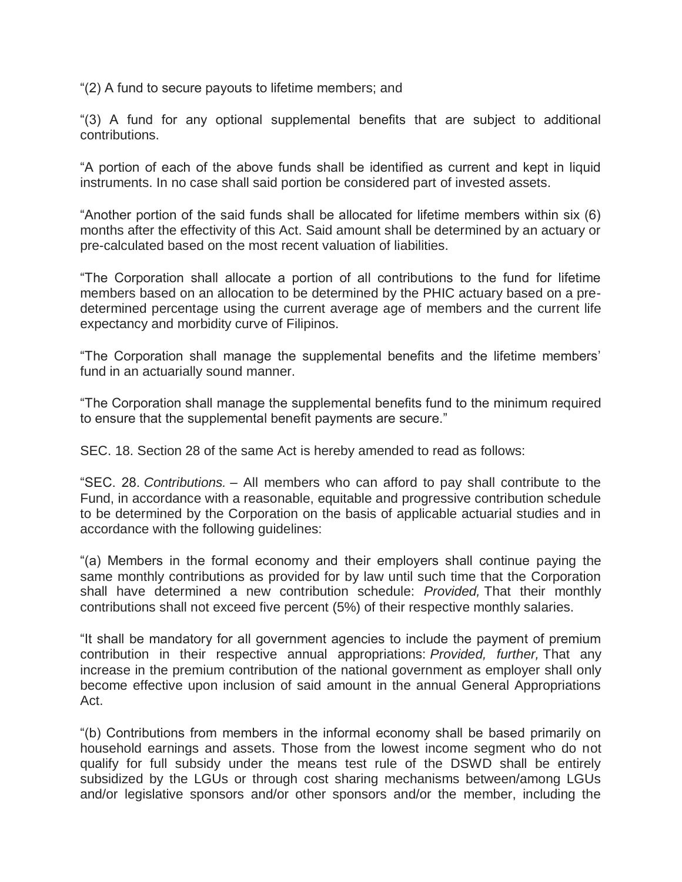"(2) A fund to secure payouts to lifetime members; and

"(3) A fund for any optional supplemental benefits that are subject to additional contributions.

"A portion of each of the above funds shall be identified as current and kept in liquid instruments. In no case shall said portion be considered part of invested assets.

"Another portion of the said funds shall be allocated for lifetime members within six (6) months after the effectivity of this Act. Said amount shall be determined by an actuary or pre-calculated based on the most recent valuation of liabilities.

"The Corporation shall allocate a portion of all contributions to the fund for lifetime members based on an allocation to be determined by the PHIC actuary based on a predetermined percentage using the current average age of members and the current life expectancy and morbidity curve of Filipinos.

"The Corporation shall manage the supplemental benefits and the lifetime members' fund in an actuarially sound manner.

"The Corporation shall manage the supplemental benefits fund to the minimum required to ensure that the supplemental benefit payments are secure."

SEC. 18. Section 28 of the same Act is hereby amended to read as follows:

"SEC. 28. *Contributions.* – All members who can afford to pay shall contribute to the Fund, in accordance with a reasonable, equitable and progressive contribution schedule to be determined by the Corporation on the basis of applicable actuarial studies and in accordance with the following guidelines:

"(a) Members in the formal economy and their employers shall continue paying the same monthly contributions as provided for by law until such time that the Corporation shall have determined a new contribution schedule: *Provided,* That their monthly contributions shall not exceed five percent (5%) of their respective monthly salaries.

"It shall be mandatory for all government agencies to include the payment of premium contribution in their respective annual appropriations: *Provided, further,* That any increase in the premium contribution of the national government as employer shall only become effective upon inclusion of said amount in the annual General Appropriations Act.

"(b) Contributions from members in the informal economy shall be based primarily on household earnings and assets. Those from the lowest income segment who do not qualify for full subsidy under the means test rule of the DSWD shall be entirely subsidized by the LGUs or through cost sharing mechanisms between/among LGUs and/or legislative sponsors and/or other sponsors and/or the member, including the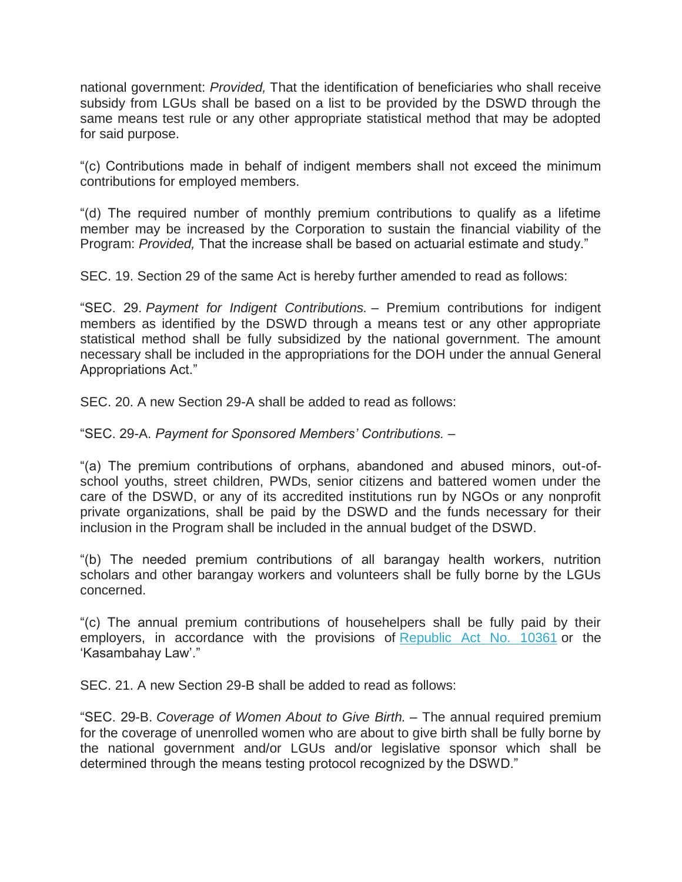national government: *Provided,* That the identification of beneficiaries who shall receive subsidy from LGUs shall be based on a list to be provided by the DSWD through the same means test rule or any other appropriate statistical method that may be adopted for said purpose.

"(c) Contributions made in behalf of indigent members shall not exceed the minimum contributions for employed members.

"(d) The required number of monthly premium contributions to qualify as a lifetime member may be increased by the Corporation to sustain the financial viability of the Program: *Provided,* That the increase shall be based on actuarial estimate and study."

SEC. 19. Section 29 of the same Act is hereby further amended to read as follows:

"SEC. 29. *Payment for Indigent Contributions.* – Premium contributions for indigent members as identified by the DSWD through a means test or any other appropriate statistical method shall be fully subsidized by the national government. The amount necessary shall be included in the appropriations for the DOH under the annual General Appropriations Act."

SEC. 20. A new Section 29-A shall be added to read as follows:

### "SEC. 29-A. *Payment for Sponsored Members' Contributions.* –

"(a) The premium contributions of orphans, abandoned and abused minors, out-ofschool youths, street children, PWDs, senior citizens and battered women under the care of the DSWD, or any of its accredited institutions run by NGOs or any nonprofit private organizations, shall be paid by the DSWD and the funds necessary for their inclusion in the Program shall be included in the annual budget of the DSWD.

"(b) The needed premium contributions of all barangay health workers, nutrition scholars and other barangay workers and volunteers shall be fully borne by the LGUs concerned.

"(c) The annual premium contributions of househelpers shall be fully paid by their employers, in accordance with the provisions of [Republic Act No. 10361](http://www.gov.ph/2013/01/18/republic-act-no-10361/) or the 'Kasambahay Law'."

SEC. 21. A new Section 29-B shall be added to read as follows:

"SEC. 29-B. *Coverage of Women About to Give Birth.* – The annual required premium for the coverage of unenrolled women who are about to give birth shall be fully borne by the national government and/or LGUs and/or legislative sponsor which shall be determined through the means testing protocol recognized by the DSWD."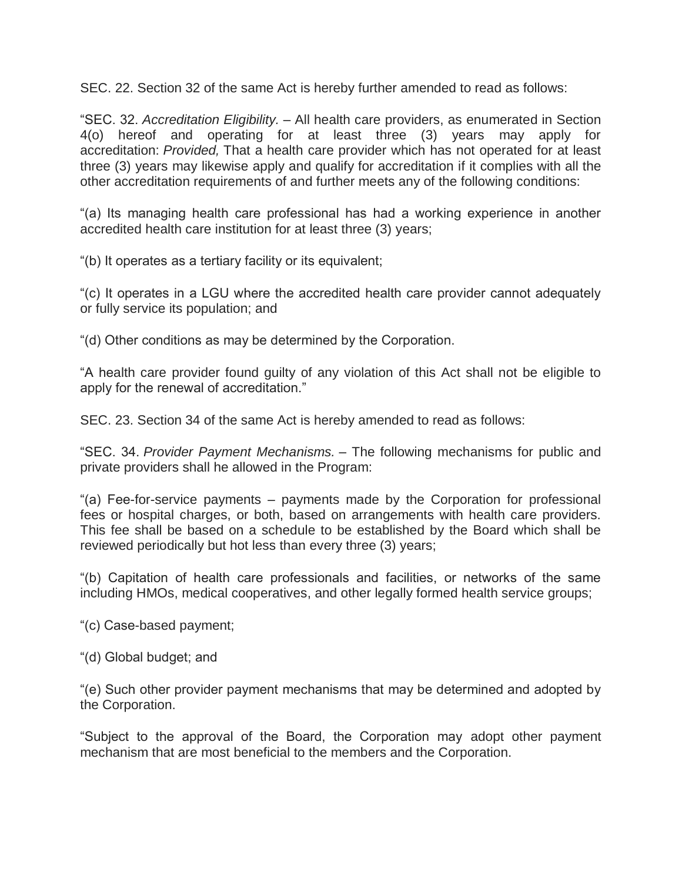SEC. 22. Section 32 of the same Act is hereby further amended to read as follows:

"SEC. 32. *Accreditation Eligibility.* – All health care providers, as enumerated in Section 4(o) hereof and operating for at least three (3) years may apply for accreditation: *Provided,* That a health care provider which has not operated for at least three (3) years may likewise apply and qualify for accreditation if it complies with all the other accreditation requirements of and further meets any of the following conditions:

"(a) Its managing health care professional has had a working experience in another accredited health care institution for at least three (3) years;

"(b) It operates as a tertiary facility or its equivalent;

"(c) It operates in a LGU where the accredited health care provider cannot adequately or fully service its population; and

"(d) Other conditions as may be determined by the Corporation.

"A health care provider found guilty of any violation of this Act shall not be eligible to apply for the renewal of accreditation."

SEC. 23. Section 34 of the same Act is hereby amended to read as follows:

"SEC. 34. *Provider Payment Mechanisms.* – The following mechanisms for public and private providers shall he allowed in the Program:

"(a) Fee-for-service payments – payments made by the Corporation for professional fees or hospital charges, or both, based on arrangements with health care providers. This fee shall be based on a schedule to be established by the Board which shall be reviewed periodically but hot less than every three (3) years;

"(b) Capitation of health care professionals and facilities, or networks of the same including HMOs, medical cooperatives, and other legally formed health service groups;

"(c) Case-based payment;

"(d) Global budget; and

"(e) Such other provider payment mechanisms that may be determined and adopted by the Corporation.

"Subject to the approval of the Board, the Corporation may adopt other payment mechanism that are most beneficial to the members and the Corporation.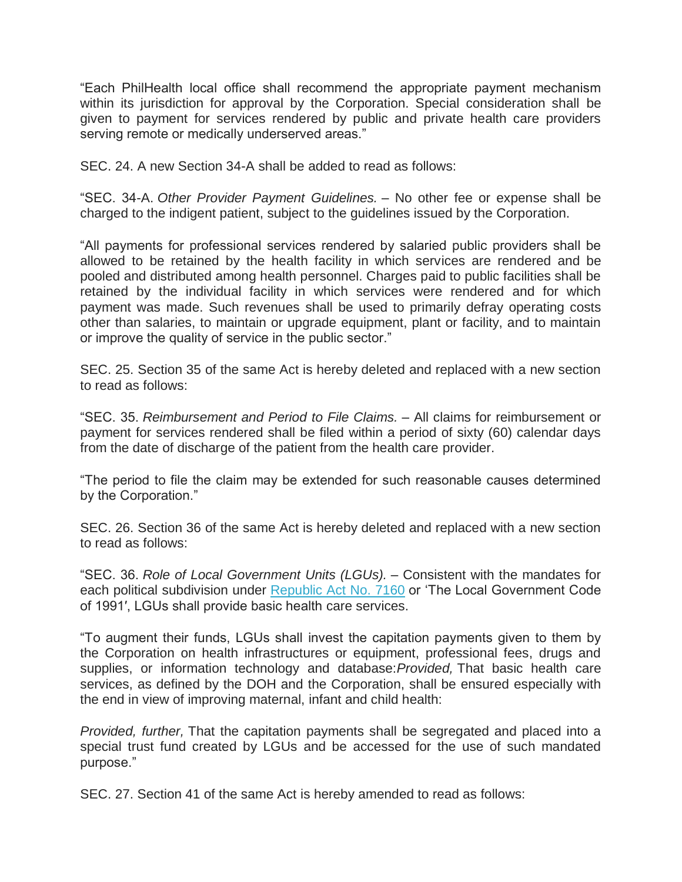"Each PhilHealth local office shall recommend the appropriate payment mechanism within its jurisdiction for approval by the Corporation. Special consideration shall be given to payment for services rendered by public and private health care providers serving remote or medically underserved areas."

SEC. 24. A new Section 34-A shall be added to read as follows:

"SEC. 34-A. *Other Provider Payment Guidelines.* – No other fee or expense shall be charged to the indigent patient, subject to the guidelines issued by the Corporation.

"All payments for professional services rendered by salaried public providers shall be allowed to be retained by the health facility in which services are rendered and be pooled and distributed among health personnel. Charges paid to public facilities shall be retained by the individual facility in which services were rendered and for which payment was made. Such revenues shall be used to primarily defray operating costs other than salaries, to maintain or upgrade equipment, plant or facility, and to maintain or improve the quality of service in the public sector."

SEC. 25. Section 35 of the same Act is hereby deleted and replaced with a new section to read as follows:

"SEC. 35. *Reimbursement and Period to File Claims.* – All claims for reimbursement or payment for services rendered shall be filed within a period of sixty (60) calendar days from the date of discharge of the patient from the health care provider.

"The period to file the claim may be extended for such reasonable causes determined by the Corporation."

SEC. 26. Section 36 of the same Act is hereby deleted and replaced with a new section to read as follows:

"SEC. 36. *Role of Local Government Units (LGUs).* – Consistent with the mandates for each political subdivision under [Republic Act No. 7160](http://www.gov.ph/1991/10/10/republic-act-no-7160/) or 'The Local Government Code of 1991′, LGUs shall provide basic health care services.

"To augment their funds, LGUs shall invest the capitation payments given to them by the Corporation on health infrastructures or equipment, professional fees, drugs and supplies, or information technology and database:*Provided,* That basic health care services, as defined by the DOH and the Corporation, shall be ensured especially with the end in view of improving maternal, infant and child health:

*Provided, further,* That the capitation payments shall be segregated and placed into a special trust fund created by LGUs and be accessed for the use of such mandated purpose."

SEC. 27. Section 41 of the same Act is hereby amended to read as follows: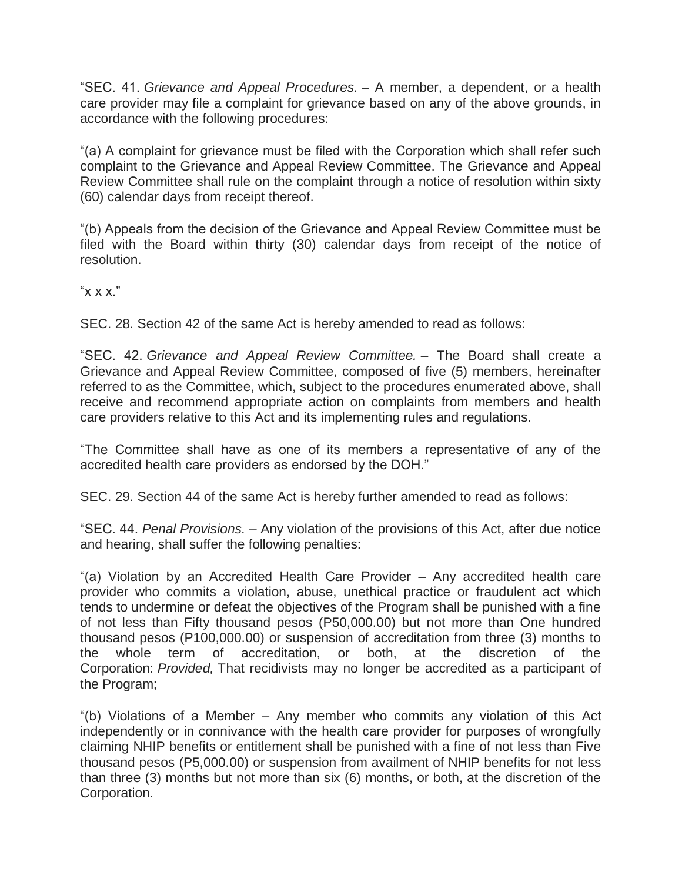"SEC. 41. *Grievance and Appeal Procedures.* – A member, a dependent, or a health care provider may file a complaint for grievance based on any of the above grounds, in accordance with the following procedures:

"(a) A complaint for grievance must be filed with the Corporation which shall refer such complaint to the Grievance and Appeal Review Committee. The Grievance and Appeal Review Committee shall rule on the complaint through a notice of resolution within sixty (60) calendar days from receipt thereof.

"(b) Appeals from the decision of the Grievance and Appeal Review Committee must be filed with the Board within thirty (30) calendar days from receipt of the notice of resolution.

" $X X X$ "

SEC. 28. Section 42 of the same Act is hereby amended to read as follows:

"SEC. 42. *Grievance and Appeal Review Committee.* – The Board shall create a Grievance and Appeal Review Committee, composed of five (5) members, hereinafter referred to as the Committee, which, subject to the procedures enumerated above, shall receive and recommend appropriate action on complaints from members and health care providers relative to this Act and its implementing rules and regulations.

"The Committee shall have as one of its members a representative of any of the accredited health care providers as endorsed by the DOH."

SEC. 29. Section 44 of the same Act is hereby further amended to read as follows:

"SEC. 44. *Penal Provisions.* – Any violation of the provisions of this Act, after due notice and hearing, shall suffer the following penalties:

"(a) Violation by an Accredited Health Care Provider – Any accredited health care provider who commits a violation, abuse, unethical practice or fraudulent act which tends to undermine or defeat the objectives of the Program shall be punished with a fine of not less than Fifty thousand pesos (P50,000.00) but not more than One hundred thousand pesos (P100,000.00) or suspension of accreditation from three (3) months to the whole term of accreditation, or both, at the discretion of the Corporation: *Provided,* That recidivists may no longer be accredited as a participant of the Program;

"(b) Violations of a Member – Any member who commits any violation of this Act independently or in connivance with the health care provider for purposes of wrongfully claiming NHIP benefits or entitlement shall be punished with a fine of not less than Five thousand pesos (P5,000.00) or suspension from availment of NHIP benefits for not less than three (3) months but not more than six (6) months, or both, at the discretion of the Corporation.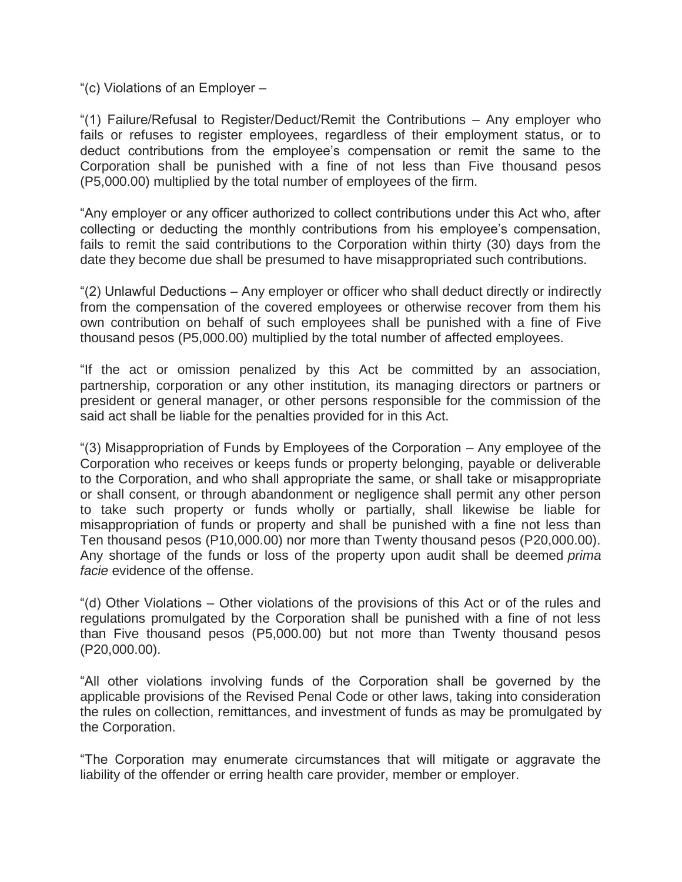"(c) Violations of an Employer –

"(1) Failure/Refusal to Register/Deduct/Remit the Contributions – Any employer who fails or refuses to register employees, regardless of their employment status, or to deduct contributions from the employee's compensation or remit the same to the Corporation shall be punished with a fine of not less than Five thousand pesos (P5,000.00) multiplied by the total number of employees of the firm.

"Any employer or any officer authorized to collect contributions under this Act who, after collecting or deducting the monthly contributions from his employee's compensation, fails to remit the said contributions to the Corporation within thirty (30) days from the date they become due shall be presumed to have misappropriated such contributions.

"(2) Unlawful Deductions – Any employer or officer who shall deduct directly or indirectly from the compensation of the covered employees or otherwise recover from them his own contribution on behalf of such employees shall be punished with a fine of Five thousand pesos (P5,000.00) multiplied by the total number of affected employees.

"If the act or omission penalized by this Act be committed by an association, partnership, corporation or any other institution, its managing directors or partners or president or general manager, or other persons responsible for the commission of the said act shall be liable for the penalties provided for in this Act.

"(3) Misappropriation of Funds by Employees of the Corporation – Any employee of the Corporation who receives or keeps funds or property belonging, payable or deliverable to the Corporation, and who shall appropriate the same, or shall take or misappropriate or shall consent, or through abandonment or negligence shall permit any other person to take such property or funds wholly or partially, shall likewise be liable for misappropriation of funds or property and shall be punished with a fine not less than Ten thousand pesos (P10,000.00) nor more than Twenty thousand pesos (P20,000.00). Any shortage of the funds or loss of the property upon audit shall be deemed *prima facie* evidence of the offense.

"(d) Other Violations – Other violations of the provisions of this Act or of the rules and regulations promulgated by the Corporation shall be punished with a fine of not less than Five thousand pesos (P5,000.00) but not more than Twenty thousand pesos (P20,000.00).

"All other violations involving funds of the Corporation shall be governed by the applicable provisions of the Revised Penal Code or other laws, taking into consideration the rules on collection, remittances, and investment of funds as may be promulgated by the Corporation.

"The Corporation may enumerate circumstances that will mitigate or aggravate the liability of the offender or erring health care provider, member or employer.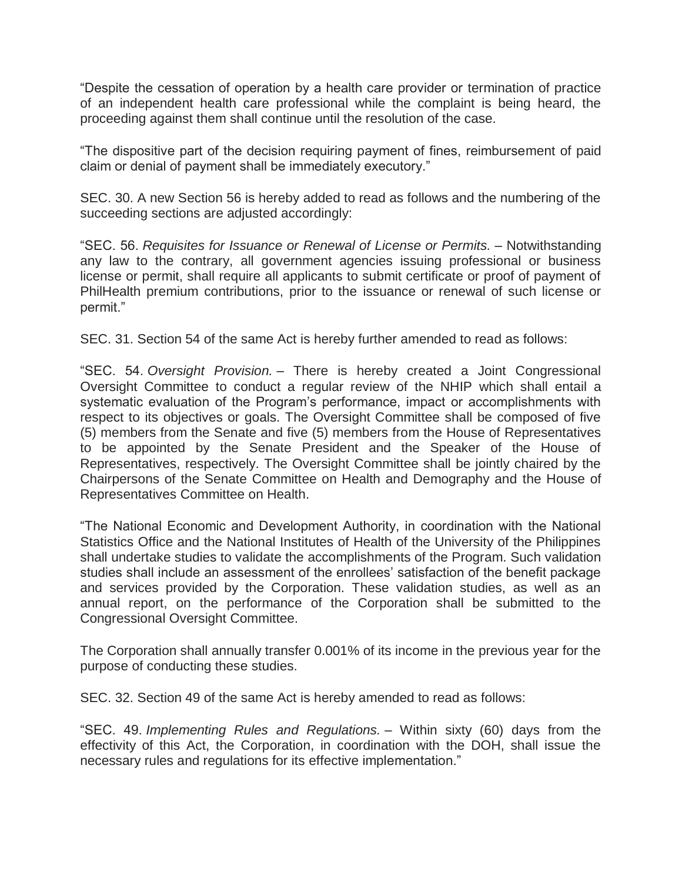"Despite the cessation of operation by a health care provider or termination of practice of an independent health care professional while the complaint is being heard, the proceeding against them shall continue until the resolution of the case.

"The dispositive part of the decision requiring payment of fines, reimbursement of paid claim or denial of payment shall be immediately executory."

SEC. 30. A new Section 56 is hereby added to read as follows and the numbering of the succeeding sections are adjusted accordingly:

"SEC. 56. *Requisites for Issuance or Renewal of License or Permits.* – Notwithstanding any law to the contrary, all government agencies issuing professional or business license or permit, shall require all applicants to submit certificate or proof of payment of PhilHealth premium contributions, prior to the issuance or renewal of such license or permit."

SEC. 31. Section 54 of the same Act is hereby further amended to read as follows:

"SEC. 54. *Oversight Provision.* – There is hereby created a Joint Congressional Oversight Committee to conduct a regular review of the NHIP which shall entail a systematic evaluation of the Program's performance, impact or accomplishments with respect to its objectives or goals. The Oversight Committee shall be composed of five (5) members from the Senate and five (5) members from the House of Representatives to be appointed by the Senate President and the Speaker of the House of Representatives, respectively. The Oversight Committee shall be jointly chaired by the Chairpersons of the Senate Committee on Health and Demography and the House of Representatives Committee on Health.

"The National Economic and Development Authority, in coordination with the National Statistics Office and the National Institutes of Health of the University of the Philippines shall undertake studies to validate the accomplishments of the Program. Such validation studies shall include an assessment of the enrollees' satisfaction of the benefit package and services provided by the Corporation. These validation studies, as well as an annual report, on the performance of the Corporation shall be submitted to the Congressional Oversight Committee.

The Corporation shall annually transfer 0.001% of its income in the previous year for the purpose of conducting these studies.

SEC. 32. Section 49 of the same Act is hereby amended to read as follows:

"SEC. 49. *Implementing Rules and Regulations.* – Within sixty (60) days from the effectivity of this Act, the Corporation, in coordination with the DOH, shall issue the necessary rules and regulations for its effective implementation."